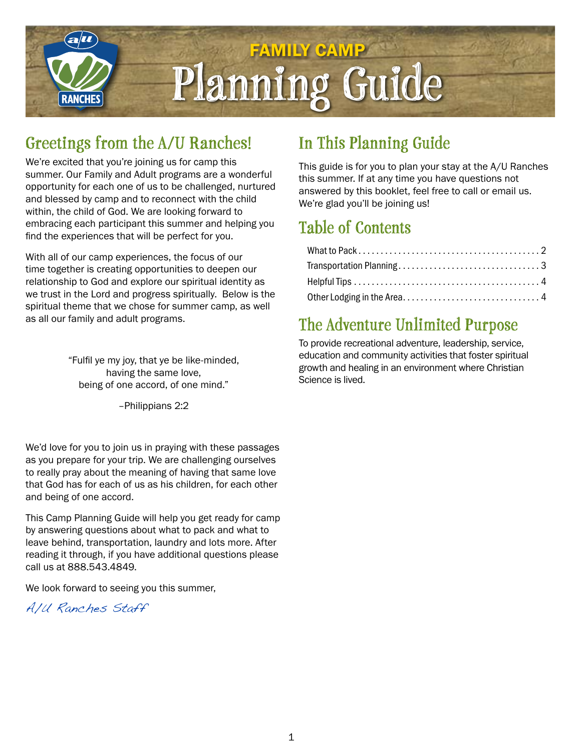

## **Greetings from the A/U Ranches!**

We're excited that you're joining us for camp this summer. Our Family and Adult programs are a wonderful opportunity for each one of us to be challenged, nurtured and blessed by camp and to reconnect with the child within, the child of God. We are looking forward to embracing each participant this summer and helping you find the experiences that will be perfect for you.

With all of our camp experiences, the focus of our time together is creating opportunities to deepen our relationship to God and explore our spiritual identity as we trust in the Lord and progress spiritually. Below is the spiritual theme that we chose for summer camp, as well as all our family and adult programs.

> "Fulfil ye my joy, that ye be like-minded, having the same love, being of one accord, of one mind."

> > –Philippians 2:2

We'd love for you to join us in praying with these passages as you prepare for your trip. We are challenging ourselves to really pray about the meaning of having that same love that God has for each of us as his children, for each other and being of one accord.

This Camp Planning Guide will help you get ready for camp by answering questions about what to pack and what to leave behind, transportation, laundry and lots more. After reading it through, if you have additional questions please call us at 888.543.4849.

We look forward to seeing you this summer,

A/U Ranches Staff

## **In This Planning Guide**

This guide is for you to plan your stay at the A/U Ranches this summer. If at any time you have questions not answered by this booklet, feel free to call or email us. We're glad you'll be joining us!

## **Table of Contents**

## **The Adventure Unlimited Purpose**

To provide recreational adventure, leadership, service, education and community activities that foster spiritual growth and healing in an environment where Christian Science is lived.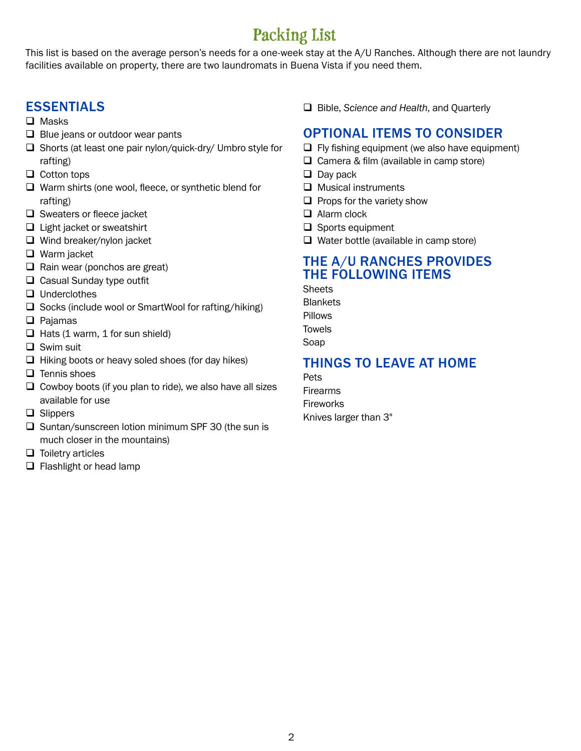## **Packing List**

This list is based on the average person's needs for a one-week stay at the A/U Ranches. Although there are not laundry facilities available on property, there are two laundromats in Buena Vista if you need them.

#### ESSENTIALS

- $\Box$  Masks
- $\Box$  Blue jeans or outdoor wear pants
- $\Box$  Shorts (at least one pair nylon/quick-dry/ Umbro style for rafting)
- $\Box$  Cotton tops
- $\Box$  Warm shirts (one wool, fleece, or synthetic blend for rafting)
- $\Box$  Sweaters or fleece jacket
- $\Box$  Light jacket or sweatshirt
- $\Box$  Wind breaker/nylon jacket
- $\Box$  Warm jacket
- $\Box$  Rain wear (ponchos are great)
- $\Box$  Casual Sunday type outfit
- $\Box$  Underclothes
- $\square$  Socks (include wool or SmartWool for rafting/hiking)
- $\Box$  Pajamas
- $\Box$  Hats (1 warm, 1 for sun shield)
- $\Box$  Swim suit
- $\Box$  Hiking boots or heavy soled shoes (for day hikes)
- $\Box$  Tennis shoes
- $\Box$  Cowboy boots (if you plan to ride), we also have all sizes available for use
- $\Box$  Slippers
- $\Box$  Suntan/sunscreen lotion minimum SPF 30 (the sun is much closer in the mountains)
- $\Box$  Toiletry articles
- $\Box$  Flashlight or head lamp

□ Bible, *Science and Health*, and Quarterly

#### OPTIONAL ITEMS TO CONSIDER

- $\Box$  Fly fishing equipment (we also have equipment)
- $\Box$  Camera & film (available in camp store)
- $\Box$  Day pack
- $\Box$  Musical instruments
- $\Box$  Props for the variety show
- $\Box$  Alarm clock
- $\Box$  Sports equipment
- $\Box$  Water bottle (available in camp store)

#### THE A/U RANCHES PROVIDES THE FOLLOWING ITEMS

**Sheets Blankets** Pillows

Towels

Soap

#### THINGS TO LEAVE AT HOME

Pets Firearms **Fireworks** Knives larger than 3"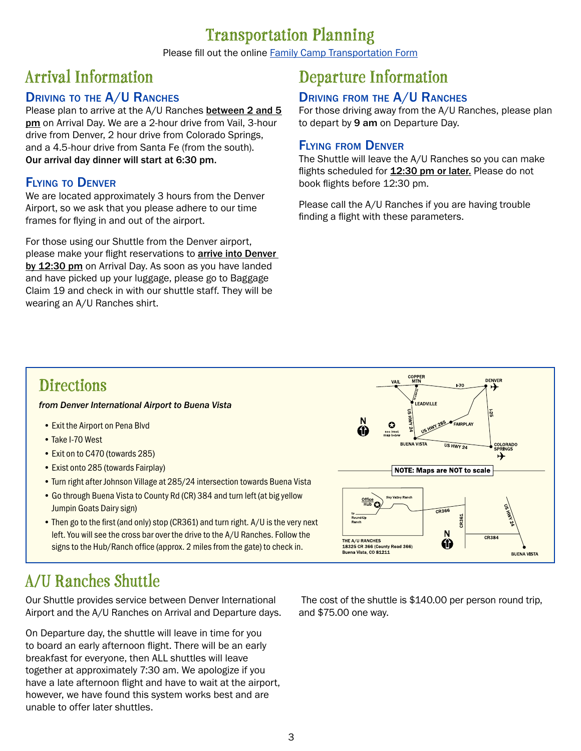### **Transportation Planning**

Please fill out the online Family Camp [Transportation Form](https://docs.google.com/forms/d/e/1FAIpQLSd5mT0Ma-pnzdUJ8PBMkjy8_VjSihptSL5IA6Uu9CYM4MEy_w/viewform)

## **Arrival Information**

#### DRIVING TO THE A/U RANCHES

Please plan to arrive at the A/U Ranches between 2 and 5 pm on Arrival Day. We are a 2-hour drive from Vail, 3-hour drive from Denver, 2 hour drive from Colorado Springs, and a 4.5-hour drive from Santa Fe (from the south). Our arrival day dinner will start at 6:30 pm.

#### Flying to Denver

We are located approximately 3 hours from the Denver Airport, so we ask that you please adhere to our time frames for flying in and out of the airport.

For those using our Shuttle from the Denver airport, please make your flight reservations to **arrive into Denver** by 12:30 pm on Arrival Day. As soon as you have landed and have picked up your luggage, please go to Baggage Claim 19 and check in with our shuttle staff. They will be wearing an A/U Ranches shirt.

## **Departure Information**

#### DRIVING FROM THE A/U RANCHES

For those driving away from the A/U Ranches, please plan to depart by 9 am on Departure Day.

#### Flying from Denver

The Shuttle will leave the A/U Ranches so you can make flights scheduled for 12:30 pm or later. Please do not book flights before 12:30 pm.

Please call the A/U Ranches if you are having trouble finding a flight with these parameters.

## **Directions**

*from Denver International Airport to Buena Vista*

- Exit the Airport on Pena Blvd
- Take I-70 West
- Exit on to C470 (towards 285)
- Exist onto 285 (towards Fairplay)
- Turn right after Johnson Village at 285/24 intersection towards Buena Vista
- Go through Buena Vista to County Rd (CR) 384 and turn left (at big yellow Jumpin Goats Dairy sign)
- Then go to the first (and only) stop (CR361) and turn right. A/U is the very next left. You will see the cross bar over the drive to the A/U Ranches. Follow the signs to the Hub/Ranch office (approx. 2 miles from the gate) to check in.



Our Shuttle provides service between Denver International Airport and the A/U Ranches on Arrival and Departure days.

On Departure day, the shuttle will leave in time for you to board an early afternoon flight. There will be an early breakfast for everyone, then ALL shuttles will leave together at approximately 7:30 am. We apologize if you have a late afternoon flight and have to wait at the airport, however, we have found this system works best and are unable to offer later shuttles.

 The cost of the shuttle is \$140.00 per person round trip, and \$75.00 one way.



3

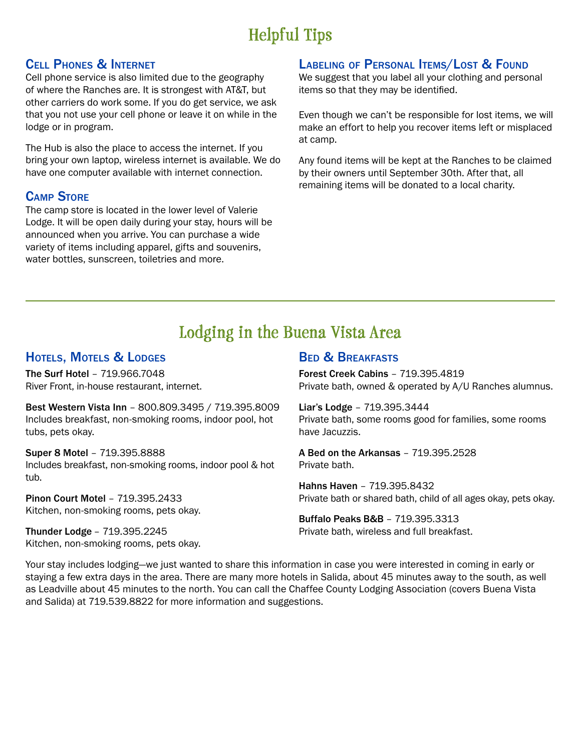## **Helpful Tips**

#### Cell Phones & Internet

Cell phone service is also limited due to the geography of where the Ranches are. It is strongest with AT&T, but other carriers do work some. If you do get service, we ask that you not use your cell phone or leave it on while in the lodge or in program.

The Hub is also the place to access the internet. If you bring your own laptop, wireless internet is available. We do have one computer available with internet connection.

#### Camp Store

The camp store is located in the lower level of Valerie Lodge. It will be open daily during your stay, hours will be announced when you arrive. You can purchase a wide variety of items including apparel, gifts and souvenirs, water bottles, sunscreen, toiletries and more.

#### LABELING OF PERSONAL ITEMS/LOST & FOUND

We suggest that you label all your clothing and personal items so that they may be identified.

Even though we can't be responsible for lost items, we will make an effort to help you recover items left or misplaced at camp.

Any found items will be kept at the Ranches to be claimed by their owners until September 30th. After that, all remaining items will be donated to a local charity.

## **Lodging in the Buena Vista Area**

#### HOTELS, MOTELS & LODGES

The Surf Hotel – 719.966.7048 River Front, in-house restaurant, internet.

Best Western Vista Inn – 800.809.3495 / 719.395.8009 Includes breakfast, non-smoking rooms, indoor pool, hot tubs, pets okay.

Super 8 Motel – 719.395.8888 Includes breakfast, non-smoking rooms, indoor pool & hot tub.

Pinon Court Motel – 719.395.2433 Kitchen, non-smoking rooms, pets okay.

Thunder Lodge – 719.395.2245 Kitchen, non-smoking rooms, pets okay.

#### **BED & BREAKFASTS**

Forest Creek Cabins – 719.395.4819 Private bath, owned & operated by A/U Ranches alumnus.

Liar's Lodge – 719.395.3444 Private bath, some rooms good for families, some rooms have Jacuzzis.

A Bed on the Arkansas – 719.395.2528 Private bath.

Hahns Haven – 719.395.8432 Private bath or shared bath, child of all ages okay, pets okay.

Buffalo Peaks B&B – 719.395.3313 Private bath, wireless and full breakfast.

Your stay includes lodging—we just wanted to share this information in case you were interested in coming in early or staying a few extra days in the area. There are many more hotels in Salida, about 45 minutes away to the south, as well as Leadville about 45 minutes to the north. You can call the Chaffee County Lodging Association (covers Buena Vista and Salida) at 719.539.8822 for more information and suggestions.